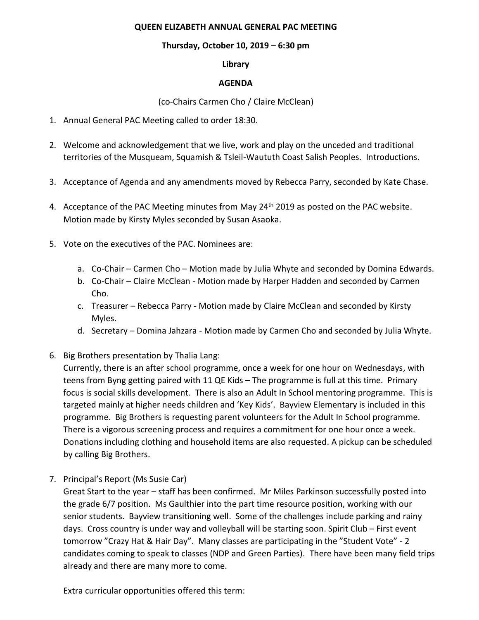#### **QUEEN ELIZABETH ANNUAL GENERAL PAC MEETING**

### **Thursday, October 10, 2019 – 6:30 pm**

**Library**

### **AGENDA**

(co-Chairs Carmen Cho / Claire McClean)

- 1. Annual General PAC Meeting called to order 18:30.
- 2. Welcome and acknowledgement that we live, work and play on the unceded and traditional territories of the Musqueam, Squamish & Tsleil-Waututh Coast Salish Peoples. Introductions.
- 3. Acceptance of Agenda and any amendments moved by Rebecca Parry, seconded by Kate Chase.
- 4. Acceptance of the PAC Meeting minutes from May 24<sup>th</sup> 2019 as posted on the PAC website. Motion made by Kirsty Myles seconded by Susan Asaoka.
- 5. Vote on the executives of the PAC. Nominees are:
	- a. Co-Chair Carmen Cho Motion made by Julia Whyte and seconded by Domina Edwards.
	- b. Co-Chair Claire McClean Motion made by Harper Hadden and seconded by Carmen Cho.
	- c. Treasurer Rebecca Parry Motion made by Claire McClean and seconded by Kirsty Myles.
	- d. Secretary Domina Jahzara Motion made by Carmen Cho and seconded by Julia Whyte.
- 6. Big Brothers presentation by Thalia Lang:

Currently, there is an after school programme, once a week for one hour on Wednesdays, with teens from Byng getting paired with 11 QE Kids – The programme is full at this time. Primary focus is social skills development. There is also an Adult In School mentoring programme. This is targeted mainly at higher needs children and 'Key Kids'. Bayview Elementary is included in this programme. Big Brothers is requesting parent volunteers for the Adult In School programme. There is a vigorous screening process and requires a commitment for one hour once a week. Donations including clothing and household items are also requested. A pickup can be scheduled by calling Big Brothers.

7. Principal's Report (Ms Susie Car)

Great Start to the year – staff has been confirmed. Mr Miles Parkinson successfully posted into the grade 6/7 position. Ms Gaulthier into the part time resource position, working with our senior students. Bayview transitioning well. Some of the challenges include parking and rainy days. Cross country is under way and volleyball will be starting soon. Spirit Club – First event tomorrow "Crazy Hat & Hair Day". Many classes are participating in the "Student Vote" - 2 candidates coming to speak to classes (NDP and Green Parties). There have been many field trips already and there are many more to come.

Extra curricular opportunities offered this term: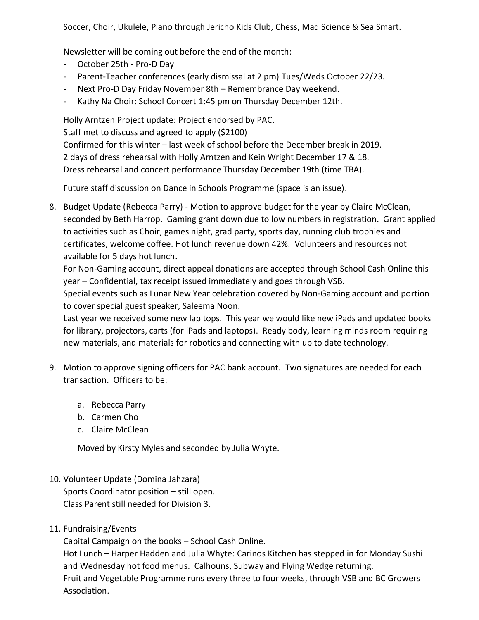Soccer, Choir, Ukulele, Piano through Jericho Kids Club, Chess, Mad Science & Sea Smart.

Newsletter will be coming out before the end of the month:

- October 25th Pro-D Day
- Parent-Teacher conferences (early dismissal at 2 pm) Tues/Weds October 22/23.
- Next Pro-D Day Friday November 8th Remembrance Day weekend.
- Kathy Na Choir: School Concert 1:45 pm on Thursday December 12th.

Holly Arntzen Project update: Project endorsed by PAC.

Staff met to discuss and agreed to apply (\$2100)

Confirmed for this winter – last week of school before the December break in 2019.

2 days of dress rehearsal with Holly Arntzen and Kein Wright December 17 & 18.

Dress rehearsal and concert performance Thursday December 19th (time TBA).

Future staff discussion on Dance in Schools Programme (space is an issue).

8. Budget Update (Rebecca Parry) - Motion to approve budget for the year by Claire McClean, seconded by Beth Harrop. Gaming grant down due to low numbers in registration. Grant applied to activities such as Choir, games night, grad party, sports day, running club trophies and certificates, welcome coffee. Hot lunch revenue down 42%. Volunteers and resources not available for 5 days hot lunch.

For Non-Gaming account, direct appeal donations are accepted through School Cash Online this year – Confidential, tax receipt issued immediately and goes through VSB.

Special events such as Lunar New Year celebration covered by Non-Gaming account and portion to cover special guest speaker, Saleema Noon.

Last year we received some new lap tops. This year we would like new iPads and updated books for library, projectors, carts (for iPads and laptops). Ready body, learning minds room requiring new materials, and materials for robotics and connecting with up to date technology.

- 9. Motion to approve signing officers for PAC bank account. Two signatures are needed for each transaction. Officers to be:
	- a. Rebecca Parry
	- b. Carmen Cho
	- c. Claire McClean

Moved by Kirsty Myles and seconded by Julia Whyte.

# 10. Volunteer Update (Domina Jahzara)

Sports Coordinator position – still open. Class Parent still needed for Division 3.

## 11. Fundraising/Events

Capital Campaign on the books – School Cash Online.

Hot Lunch – Harper Hadden and Julia Whyte: Carinos Kitchen has stepped in for Monday Sushi and Wednesday hot food menus. Calhouns, Subway and Flying Wedge returning. Fruit and Vegetable Programme runs every three to four weeks, through VSB and BC Growers

Association.